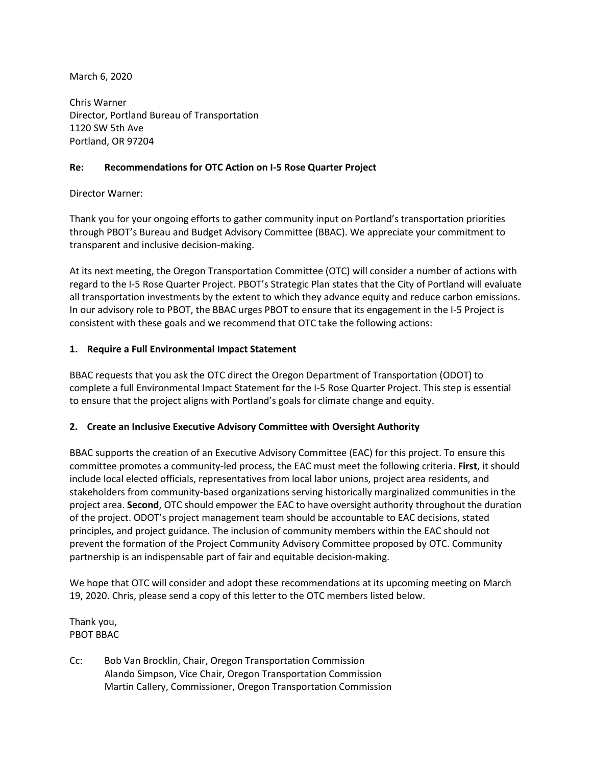March 6, 2020

Chris Warner Director, Portland Bureau of Transportation 1120 SW 5th Ave Portland, OR 97204

## **Recommendations for OTC Action on I-5 Rose Quarter Project Re:**

## Director Warner:

Thank you for your ongoing efforts to gather community input on Portland's transportation priorities through PBOT's Bureau and Budget Advisory Committee (BBAC). We appreciate your commitment to transparent and inclusive decision-making.

At its next meeting, the Oregon Transportation Committee (OTC) will consider a number of actions with regard to the I-5 Rose Quarter Project. PBOT's Strategic Plan states that the City of Portland will evaluate all transportation investments by the extent to which they advance equity and reduce carbon emissions. In our advisory role to PBOT, the BBAC urges PBOT to ensure that its engagement in the I-5 Project is consistent with these goals and we recommend that OTC take the following actions:

## **1. Require a Full Environmental Impact Statement**

BBAC requests that you ask the OTC direct the Oregon Department of Transportation (ODOT) to complete a full Environmental Impact Statement for the I-5 Rose Quarter Project. This step is essential to ensure that the project aligns with Portland's goals for climate change and equity.

## **2. Create an Inclusive Executive Advisory Committee with Oversight Authority**

BBAC supports the creation of an Executive Advisory Committee (EAC) for this project. To ensure this committee promotes a community-led process, the EAC must meet the following criteria. **First**, it should include local elected officials, representatives from local labor unions, project area residents, and stakeholders from community-based organizations serving historically marginalized communities in the project area. **Second**, OTC should empower the EAC to have oversight authority throughout the duration of the project. ODOT's project management team should be accountable to EAC decisions, stated principles, and project guidance. The inclusion of community members within the EAC should not prevent the formation of the Project Community Advisory Committee proposed by OTC. Community partnership is an indispensable part of fair and equitable decision-making.

We hope that OTC will consider and adopt these recommendations at its upcoming meeting on March 19, 2020. Chris, please send a copy of this letter to the OTC members listed below.

Thank you, PBOT BBAC

Cc: Bob Van Brocklin, Chair, Oregon Transportation Commission Alando Simpson, Vice Chair, Oregon Transportation Commission Martin Callery, Commissioner, Oregon Transportation Commission